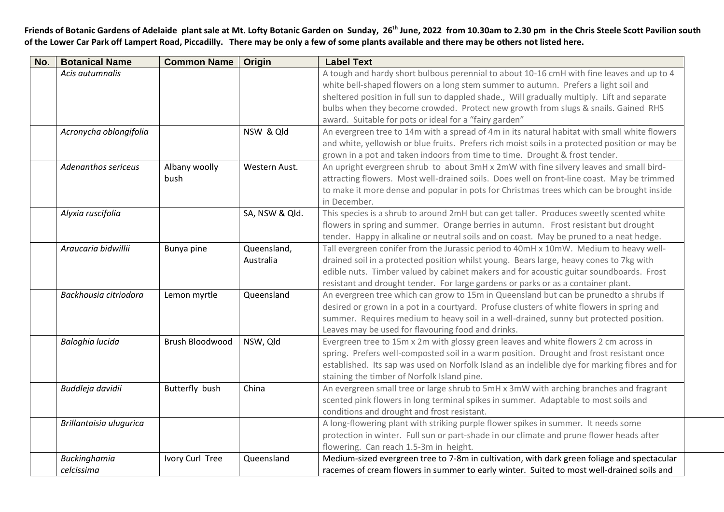**Friends of Botanic Gardens of Adelaide plant sale at Mt. Lofty Botanic Garden on Sunday, 26 th June, 2022 from 10.30am to 2.30 pm in the Chris Steele Scott Pavilion south of the Lower Car Park off Lampert Road, Piccadilly. There may be only a few of some plants available and there may be others not listed here.**

| No. | <b>Botanical Name</b>   | <b>Common Name</b> | <b>Origin</b>  | <b>Label Text</b>                                                                               |
|-----|-------------------------|--------------------|----------------|-------------------------------------------------------------------------------------------------|
|     | Acis autumnalis         |                    |                | A tough and hardy short bulbous perennial to about 10-16 cmH with fine leaves and up to 4       |
|     |                         |                    |                | white bell-shaped flowers on a long stem summer to autumn. Prefers a light soil and             |
|     |                         |                    |                | sheltered position in full sun to dappled shade., Will gradually multiply. Lift and separate    |
|     |                         |                    |                | bulbs when they become crowded. Protect new growth from slugs & snails. Gained RHS              |
|     |                         |                    |                | award. Suitable for pots or ideal for a "fairy garden"                                          |
|     | Acronycha oblongifolia  |                    | NSW & Qld      | An evergreen tree to 14m with a spread of 4m in its natural habitat with small white flowers    |
|     |                         |                    |                | and white, yellowish or blue fruits. Prefers rich moist soils in a protected position or may be |
|     |                         |                    |                | grown in a pot and taken indoors from time to time. Drought & frost tender.                     |
|     | Adenanthos sericeus     | Albany woolly      | Western Aust.  | An upright evergreen shrub to about 3mH x 2mW with fine silvery leaves and small bird-          |
|     |                         | bush               |                | attracting flowers. Most well-drained soils. Does well on front-line coast. May be trimmed      |
|     |                         |                    |                | to make it more dense and popular in pots for Christmas trees which can be brought inside       |
|     |                         |                    |                | in December.                                                                                    |
|     | Alyxia ruscifolia       |                    | SA, NSW & Qld. | This species is a shrub to around 2mH but can get taller. Produces sweetly scented white        |
|     |                         |                    |                | flowers in spring and summer. Orange berries in autumn. Frost resistant but drought             |
|     |                         |                    |                | tender. Happy in alkaline or neutral soils and on coast. May be pruned to a neat hedge.         |
|     | Araucaria bidwillii     | Bunya pine         | Queensland,    | Tall evergreen conifer from the Jurassic period to 40mH x 10mW. Medium to heavy well-           |
|     |                         |                    | Australia      | drained soil in a protected position whilst young. Bears large, heavy cones to 7kg with         |
|     |                         |                    |                | edible nuts. Timber valued by cabinet makers and for acoustic guitar soundboards. Frost         |
|     |                         |                    |                | resistant and drought tender. For large gardens or parks or as a container plant.               |
|     | Backhousia citriodora   | Lemon myrtle       | Queensland     | An evergreen tree which can grow to 15m in Queensland but can be prunedto a shrubs if           |
|     |                         |                    |                | desired or grown in a pot in a courtyard. Profuse clusters of white flowers in spring and       |
|     |                         |                    |                | summer. Requires medium to heavy soil in a well-drained, sunny but protected position.          |
|     |                         |                    |                | Leaves may be used for flavouring food and drinks.                                              |
|     | Baloghia lucida         | Brush Bloodwood    | NSW, Qld       | Evergreen tree to 15m x 2m with glossy green leaves and white flowers 2 cm across in            |
|     |                         |                    |                | spring. Prefers well-composted soil in a warm position. Drought and frost resistant once        |
|     |                         |                    |                | established. Its sap was used on Norfolk Island as an indelible dye for marking fibres and for  |
|     |                         |                    |                | staining the timber of Norfolk Island pine.                                                     |
|     | Buddleja davidii        | Butterfly bush     | China          | An evergreen small tree or large shrub to 5mH x 3mW with arching branches and fragrant          |
|     |                         |                    |                | scented pink flowers in long terminal spikes in summer. Adaptable to most soils and             |
|     |                         |                    |                | conditions and drought and frost resistant.                                                     |
|     | Brillantaisia ulugurica |                    |                | A long-flowering plant with striking purple flower spikes in summer. It needs some              |
|     |                         |                    |                | protection in winter. Full sun or part-shade in our climate and prune flower heads after        |
|     |                         |                    |                | flowering. Can reach 1.5-3m in height.                                                          |
|     | Buckinghamia            | Ivory Curl Tree    | Queensland     | Medium-sized evergreen tree to 7-8m in cultivation, with dark green foliage and spectacular     |
|     | celcissima              |                    |                | racemes of cream flowers in summer to early winter. Suited to most well-drained soils and       |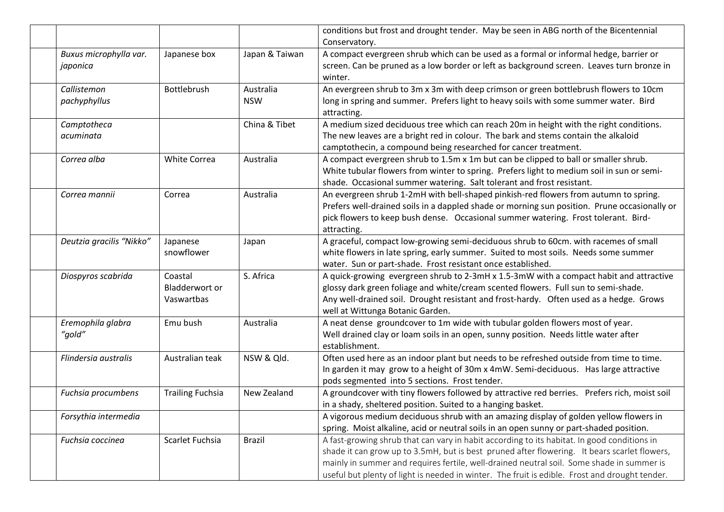|                                    |                                         |                | conditions but frost and drought tender. May be seen in ABG north of the Bicentennial                                                                                                                                                                                                                                                                                                      |
|------------------------------------|-----------------------------------------|----------------|--------------------------------------------------------------------------------------------------------------------------------------------------------------------------------------------------------------------------------------------------------------------------------------------------------------------------------------------------------------------------------------------|
|                                    |                                         |                | Conservatory.                                                                                                                                                                                                                                                                                                                                                                              |
| Buxus microphylla var.<br>japonica | Japanese box                            | Japan & Taiwan | A compact evergreen shrub which can be used as a formal or informal hedge, barrier or<br>screen. Can be pruned as a low border or left as background screen. Leaves turn bronze in<br>winter.                                                                                                                                                                                              |
| Callistemon                        | Bottlebrush                             | Australia      | An evergreen shrub to 3m x 3m with deep crimson or green bottlebrush flowers to 10cm                                                                                                                                                                                                                                                                                                       |
| pachyphyllus                       |                                         | <b>NSW</b>     | long in spring and summer. Prefers light to heavy soils with some summer water. Bird<br>attracting.                                                                                                                                                                                                                                                                                        |
| Camptotheca<br>acuminata           |                                         | China & Tibet  | A medium sized deciduous tree which can reach 20m in height with the right conditions.<br>The new leaves are a bright red in colour. The bark and stems contain the alkaloid<br>camptothecin, a compound being researched for cancer treatment.                                                                                                                                            |
| Correa alba                        | <b>White Correa</b>                     | Australia      | A compact evergreen shrub to 1.5m x 1m but can be clipped to ball or smaller shrub.<br>White tubular flowers from winter to spring. Prefers light to medium soil in sun or semi-<br>shade. Occasional summer watering. Salt tolerant and frost resistant.                                                                                                                                  |
| Correa mannii                      | Correa                                  | Australia      | An evergreen shrub 1-2mH with bell-shaped pinkish-red flowers from autumn to spring.<br>Prefers well-drained soils in a dappled shade or morning sun position. Prune occasionally or<br>pick flowers to keep bush dense. Occasional summer watering. Frost tolerant. Bird-<br>attracting.                                                                                                  |
| Deutzia gracilis "Nikko"           | Japanese<br>snowflower                  | Japan          | A graceful, compact low-growing semi-deciduous shrub to 60cm. with racemes of small<br>white flowers in late spring, early summer. Suited to most soils. Needs some summer<br>water. Sun or part-shade. Frost resistant once established.                                                                                                                                                  |
| Diospyros scabrida                 | Coastal<br>Bladderwort or<br>Vaswartbas | S. Africa      | A quick-growing evergreen shrub to 2-3mH x 1.5-3mW with a compact habit and attractive<br>glossy dark green foliage and white/cream scented flowers. Full sun to semi-shade.<br>Any well-drained soil. Drought resistant and frost-hardy. Often used as a hedge. Grows<br>well at Wittunga Botanic Garden.                                                                                 |
| Eremophila glabra<br>"gold"        | Emu bush                                | Australia      | A neat dense groundcover to 1m wide with tubular golden flowers most of year.<br>Well drained clay or loam soils in an open, sunny position. Needs little water after<br>establishment.                                                                                                                                                                                                    |
| Flindersia australis               | Australian teak                         | NSW & Qld.     | Often used here as an indoor plant but needs to be refreshed outside from time to time.<br>In garden it may grow to a height of 30m x 4mW. Semi-deciduous. Has large attractive<br>pods segmented into 5 sections. Frost tender.                                                                                                                                                           |
| Fuchsia procumbens                 | <b>Trailing Fuchsia</b>                 | New Zealand    | A groundcover with tiny flowers followed by attractive red berries. Prefers rich, moist soil<br>in a shady, sheltered position. Suited to a hanging basket.                                                                                                                                                                                                                                |
| Forsythia intermedia               |                                         |                | A vigorous medium deciduous shrub with an amazing display of golden yellow flowers in<br>spring. Moist alkaline, acid or neutral soils in an open sunny or part-shaded position.                                                                                                                                                                                                           |
| Fuchsia coccinea                   | Scarlet Fuchsia                         | <b>Brazil</b>  | A fast-growing shrub that can vary in habit according to its habitat. In good conditions in<br>shade it can grow up to 3.5mH, but is best pruned after flowering. It bears scarlet flowers,<br>mainly in summer and requires fertile, well-drained neutral soil. Some shade in summer is<br>useful but plenty of light is needed in winter. The fruit is edible. Frost and drought tender. |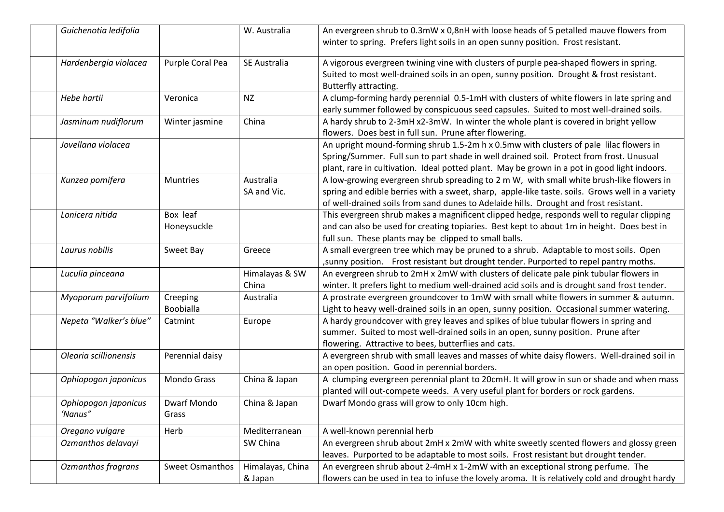| Guichenotia ledifolia           |                              | W. Australia                | An evergreen shrub to 0.3mW x 0,8nH with loose heads of 5 petalled mauve flowers from<br>winter to spring. Prefers light soils in an open sunny position. Frost resistant.                                                                                                           |
|---------------------------------|------------------------------|-----------------------------|--------------------------------------------------------------------------------------------------------------------------------------------------------------------------------------------------------------------------------------------------------------------------------------|
| Hardenbergia violacea           | Purple Coral Pea             | SE Australia                | A vigorous evergreen twining vine with clusters of purple pea-shaped flowers in spring.<br>Suited to most well-drained soils in an open, sunny position. Drought & frost resistant.<br>Butterfly attracting.                                                                         |
| Hebe hartii                     | Veronica                     | <b>NZ</b>                   | A clump-forming hardy perennial 0.5-1mH with clusters of white flowers in late spring and<br>early summer followed by conspicuous seed capsules. Suited to most well-drained soils.                                                                                                  |
| Jasminum nudiflorum             | Winter jasmine               | China                       | A hardy shrub to 2-3mH x2-3mW. In winter the whole plant is covered in bright yellow<br>flowers. Does best in full sun. Prune after flowering.                                                                                                                                       |
| Jovellana violacea              |                              |                             | An upright mound-forming shrub 1.5-2m h x 0.5mw with clusters of pale lilac flowers in<br>Spring/Summer. Full sun to part shade in well drained soil. Protect from frost. Unusual<br>plant, rare in cultivation. Ideal potted plant. May be grown in a pot in good light indoors.    |
| Kunzea pomifera                 | <b>Muntries</b>              | Australia<br>SA and Vic.    | A low-growing evergreen shrub spreading to 2 m W, with small white brush-like flowers in<br>spring and edible berries with a sweet, sharp, apple-like taste. soils. Grows well in a variety<br>of well-drained soils from sand dunes to Adelaide hills. Drought and frost resistant. |
| Lonicera nitida                 | Box leaf<br>Honeysuckle      |                             | This evergreen shrub makes a magnificent clipped hedge, responds well to regular clipping<br>and can also be used for creating topiaries. Best kept to about 1m in height. Does best in<br>full sun. These plants may be clipped to small balls.                                     |
| Laurus nobilis                  | Sweet Bay                    | Greece                      | A small evergreen tree which may be pruned to a shrub. Adaptable to most soils. Open<br>, sunny position. Frost resistant but drought tender. Purported to repel pantry moths.                                                                                                       |
| Luculia pinceana                |                              | Himalayas & SW<br>China     | An evergreen shrub to 2mH x 2mW with clusters of delicate pale pink tubular flowers in<br>winter. It prefers light to medium well-drained acid soils and is drought sand frost tender.                                                                                               |
| Myoporum parvifolium            | Creeping<br><b>Boobialla</b> | Australia                   | A prostrate evergreen groundcover to 1mW with small white flowers in summer & autumn.<br>Light to heavy well-drained soils in an open, sunny position. Occasional summer watering.                                                                                                   |
| Nepeta "Walker's blue"          | Catmint                      | Europe                      | A hardy groundcover with grey leaves and spikes of blue tubular flowers in spring and<br>summer. Suited to most well-drained soils in an open, sunny position. Prune after<br>flowering. Attractive to bees, butterflies and cats.                                                   |
| Olearia scillionensis           | Perennial daisy              |                             | A evergreen shrub with small leaves and masses of white daisy flowers. Well-drained soil in<br>an open position. Good in perennial borders.                                                                                                                                          |
| Ophiopogon japonicus            | Mondo Grass                  | China & Japan               | A clumping evergreen perennial plant to 20cmH. It will grow in sun or shade and when mass<br>planted will out-compete weeds. A very useful plant for borders or rock gardens.                                                                                                        |
| Ophiopogon japonicus<br>'Nanus" | Dwarf Mondo<br>Grass         | China & Japan               | Dwarf Mondo grass will grow to only 10cm high.                                                                                                                                                                                                                                       |
| Oregano vulgare                 | Herb                         | Mediterranean               | A well-known perennial herb                                                                                                                                                                                                                                                          |
| Ozmanthos delavayi              |                              | SW China                    | An evergreen shrub about 2mH x 2mW with white sweetly scented flowers and glossy green<br>leaves. Purported to be adaptable to most soils. Frost resistant but drought tender.                                                                                                       |
| Ozmanthos fragrans              | Sweet Osmanthos              | Himalayas, China<br>& Japan | An evergreen shrub about 2-4mH x 1-2mW with an exceptional strong perfume. The<br>flowers can be used in tea to infuse the lovely aroma. It is relatively cold and drought hardy                                                                                                     |